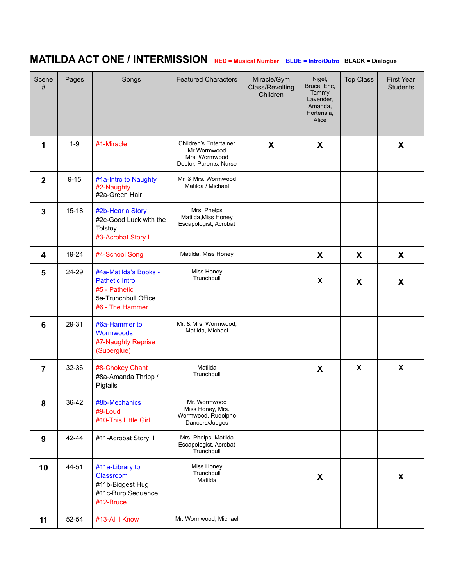## **MATILDA ACT ONE / INTERMISSION RED <sup>=</sup> Musical Number BLUE <sup>=</sup> Intro/Outro BLACK <sup>=</sup> Dialogue**

| Scene<br>#      | Pages     | Songs                                                                                                      | <b>Featured Characters</b>                                                       | Miracle/Gym<br>Class/Revolting<br>Children | Nigel,<br>Bruce, Eric,<br>Tammy<br>Lavender,<br>Amanda,<br>Hortensia,<br>Alice | <b>Top Class</b> | <b>First Year</b><br><b>Students</b> |
|-----------------|-----------|------------------------------------------------------------------------------------------------------------|----------------------------------------------------------------------------------|--------------------------------------------|--------------------------------------------------------------------------------|------------------|--------------------------------------|
| 1               | $1-9$     | #1-Miracle                                                                                                 | Children's Entertainer<br>Mr Wormwood<br>Mrs. Wormwood<br>Doctor, Parents, Nurse | X                                          | X                                                                              |                  | X                                    |
| $\overline{2}$  | $9 - 15$  | #1a-Intro to Naughty<br>#2-Naughty<br>#2a-Green Hair                                                       | Mr. & Mrs. Wormwood<br>Matilda / Michael                                         |                                            |                                                                                |                  |                                      |
| $\mathbf{3}$    | $15 - 18$ | #2b-Hear a Story<br>#2c-Good Luck with the<br>Tolstoy<br>#3-Acrobat Story I                                | Mrs. Phelps<br>Matilda, Miss Honey<br>Escapologist, Acrobat                      |                                            |                                                                                |                  |                                      |
| 4               | 19-24     | #4-School Song                                                                                             | Matilda, Miss Honey                                                              |                                            | X                                                                              | X                | X                                    |
| 5               | 24-29     | #4a-Matilda's Books -<br><b>Pathetic Intro</b><br>#5 - Pathetic<br>5a-Trunchbull Office<br>#6 - The Hammer | Miss Honey<br>Trunchbull                                                         |                                            | X                                                                              | X                | X                                    |
| $6\phantom{1}6$ | 29-31     | #6a-Hammer to<br>Wormwoods<br>#7-Naughty Reprise<br>(Superglue)                                            | Mr. & Mrs. Wormwood,<br>Matilda, Michael                                         |                                            |                                                                                |                  |                                      |
| $\overline{7}$  | 32-36     | #8-Chokey Chant<br>#8a-Amanda Thripp /<br>Pigtails                                                         | Matilda<br>Trunchbull                                                            |                                            | X                                                                              | $\pmb{\chi}$     | $\pmb{\mathsf{X}}$                   |
| 8               | 36-42     | #8b-Mechanics<br>#9-Loud<br>#10-This Little Girl                                                           | Mr. Wormwood<br>Miss Honey, Mrs.<br>Wormwood, Rudolpho<br>Dancers/Judges         |                                            |                                                                                |                  |                                      |
| 9               | 42-44     | #11-Acrobat Story II                                                                                       | Mrs. Phelps, Matilda<br>Escapologist, Acrobat<br>Trunchbull                      |                                            |                                                                                |                  |                                      |
| 10              | 44-51     | #11a-Library to<br>Classroom<br>#11b-Biggest Hug<br>#11c-Burp Sequence<br>#12-Bruce                        | Miss Honey<br>Trunchbull<br>Matilda                                              |                                            | X                                                                              |                  | $\pmb{\mathsf{X}}$                   |
| 11              | 52-54     | #13-All I Know                                                                                             | Mr. Wormwood, Michael                                                            |                                            |                                                                                |                  |                                      |